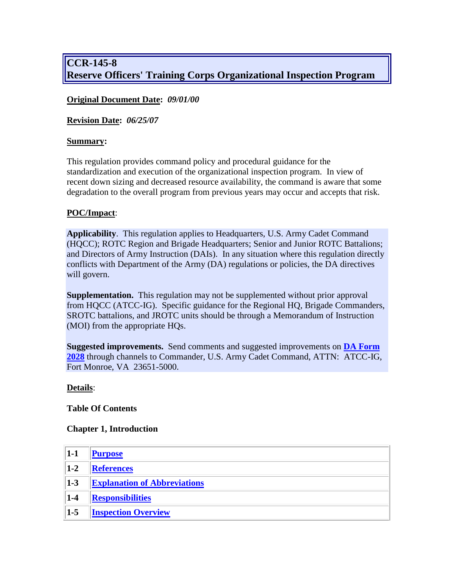# **CCR-145-8 Reserve Officers' Training Corps Organizational Inspection Program**

### **Original Document Date:** *09/01/00*

**Revision Date:** *06/25/07*

#### **Summary:**

This regulation provides command policy and procedural guidance for the standardization and execution of the organizational inspection program. In view of recent down sizing and decreased resource availability, the command is aware that some degradation to the overall program from previous years may occur and accepts that risk.

### **POC/Impact**:

**Applicability**. This regulation applies to Headquarters, U.S. Army Cadet Command (HQCC); ROTC Region and Brigade Headquarters; Senior and Junior ROTC Battalions; and Directors of Army Instruction (DAIs). In any situation where this regulation directly conflicts with Department of the Army (DA) regulations or policies, the DA directives will govern.

**Supplementation.** This regulation may not be supplemented without prior approval from HQCC (ATCC-IG). Specific guidance for the Regional HQ, Brigade Commanders, SROTC battalions, and JROTC units should be through a Memorandum of Instruction (MOI) from the appropriate HQs.

**Suggested improvements.** Send comments and suggested improvements on **[DA Form](http://www.apd.army.mil/pub/eforms/pdf/a2028.pdf)  [2028](http://www.apd.army.mil/pub/eforms/pdf/a2028.pdf)** through channels to Commander, U.S. Army Cadet Command, ATTN: ATCC-IG, Fort Monroe, VA 23651-5000.

#### **Details**:

**Table Of Contents**

#### **Chapter 1, Introduction**

| $ 1-1$  | <b>Purpose</b>                      |  |
|---------|-------------------------------------|--|
| $ 1-2 $ | <b>References</b>                   |  |
| $ 1-3$  | <b>Explanation of Abbreviations</b> |  |
| $ 1-4$  | <b>Responsibilities</b>             |  |
| $1-5$   | <b>Inspection Overview</b>          |  |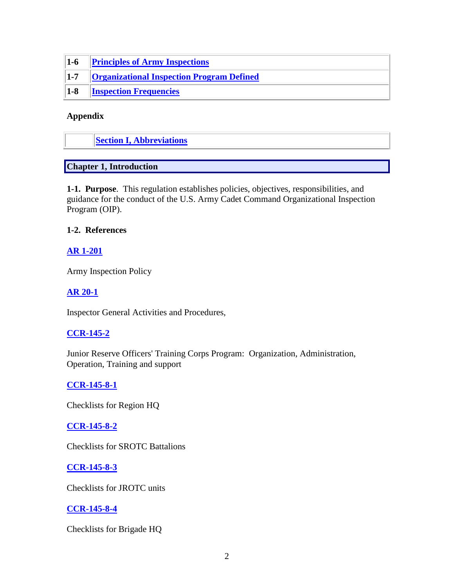| $ 1-6 $ | <b>Principles of Army Inspections</b>            |  |
|---------|--------------------------------------------------|--|
| $1-7$   | <b>Organizational Inspection Program Defined</b> |  |
| $ 1-8 $ | <b>Inspection Frequencies</b>                    |  |

### **Appendix**

**[Section I, Abbreviations](#page-10-0)**

#### **Chapter 1, Introduction**

<span id="page-1-0"></span>**1-1. Purpose**. This regulation establishes policies, objectives, responsibilities, and guidance for the conduct of the U.S. Army Cadet Command Organizational Inspection Program (OIP).

#### <span id="page-1-1"></span>**1-2. References**

### **[AR 1-201](http://www.usapa.army.mil/pdffiles/r1_201.pdf)**

Army Inspection Policy

### **[AR 20-1](http://www.usapa.army.mil/pdffiles/r20_1.pdf)**

Inspector General Activities and Procedures,

#### **[CCR-145-2](/portal/dt/usacc/HQ/library/CC_Regulations/CCR_145_2.htm)**

Junior Reserve Officers' Training Corps Program: Organization, Administration, Operation, Training and support

### **[CCR-145-8-1](/portal/dt/usacc/HQ/library/CC_Regulations/CCR_145_8_1.htm)**

Checklists for Region HQ

#### **[CCR-145-8-2](/portal/dt/usacc/HQ/library/CC_Regulations/CCR_145_8_2.htm)**

Checklists for SROTC Battalions

#### **[CCR-145-8-3](/portal/dt/usacc/HQ/library/CC_Regulations/CCR_145_8_3.htm)**

Checklists for JROTC units

#### **[CCR-145-8-4](/portal/dt/usacc/HQ/library/CC_Regulations/CCR_145_8_4.htm)**

Checklists for Brigade HQ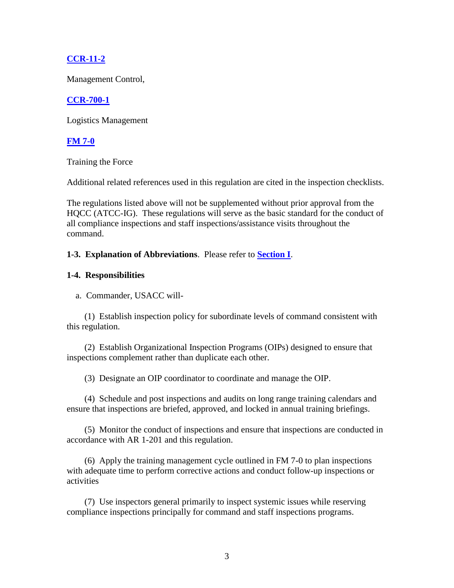# **[CCR-11-2](/portal/dt/usacc/HQ/library/CC_Regulations/CCR_11_2.htm)**

Management Control,

# **[CCR-700-1](/portal/dt/usacc/HQ/library/CC_Regulations/CCR_700_1.htm)**

Logistics Management

# **[FM 7-0](http://www.army.mil/features/FM7/FM%207-0.PDF)**

Training the Force

Additional related references used in this regulation are cited in the inspection checklists.

The regulations listed above will not be supplemented without prior approval from the HQCC (ATCC-IG). These regulations will serve as the basic standard for the conduct of all compliance inspections and staff inspections/assistance visits throughout the command.

### <span id="page-2-0"></span>**1-3. Explanation of Abbreviations**. Please refer to **[Section I](#page-10-0)**.

### **1-4. Responsibilities**

<span id="page-2-1"></span>a. Commander, USACC will-

 (1) Establish inspection policy for subordinate levels of command consistent with this regulation.

 (2) Establish Organizational Inspection Programs (OIPs) designed to ensure that inspections complement rather than duplicate each other.

(3) Designate an OIP coordinator to coordinate and manage the OIP.

 (4) Schedule and post inspections and audits on long range training calendars and ensure that inspections are briefed, approved, and locked in annual training briefings.

 (5) Monitor the conduct of inspections and ensure that inspections are conducted in accordance with AR 1-201 and this regulation.

 (6) Apply the training management cycle outlined in FM 7-0 to plan inspections with adequate time to perform corrective actions and conduct follow-up inspections or activities

 (7) Use inspectors general primarily to inspect systemic issues while reserving compliance inspections principally for command and staff inspections programs.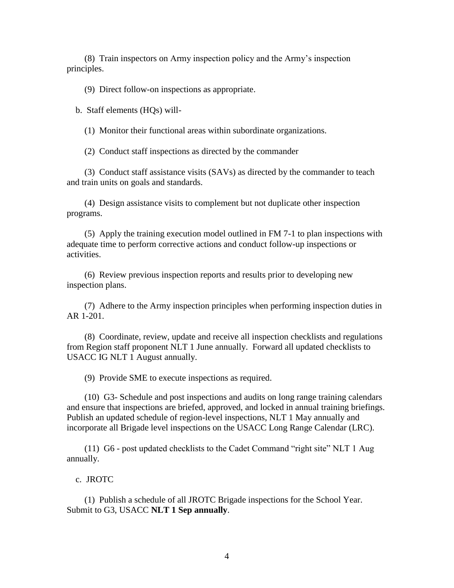(8) Train inspectors on Army inspection policy and the Army's inspection principles.

(9) Direct follow-on inspections as appropriate.

b. Staff elements (HQs) will-

(1) Monitor their functional areas within subordinate organizations.

(2) Conduct staff inspections as directed by the commander

 (3) Conduct staff assistance visits (SAVs) as directed by the commander to teach and train units on goals and standards.

 (4) Design assistance visits to complement but not duplicate other inspection programs.

 (5) Apply the training execution model outlined in FM 7-1 to plan inspections with adequate time to perform corrective actions and conduct follow-up inspections or activities.

 (6) Review previous inspection reports and results prior to developing new inspection plans.

 (7) Adhere to the Army inspection principles when performing inspection duties in AR 1-201.

 (8) Coordinate, review, update and receive all inspection checklists and regulations from Region staff proponent NLT 1 June annually. Forward all updated checklists to USACC IG NLT 1 August annually.

(9) Provide SME to execute inspections as required.

 (10) G3- Schedule and post inspections and audits on long range training calendars and ensure that inspections are briefed, approved, and locked in annual training briefings. Publish an updated schedule of region-level inspections, NLT 1 May annually and incorporate all Brigade level inspections on the USACC Long Range Calendar (LRC).

 (11) G6 - post updated checklists to the Cadet Command "right site" NLT 1 Aug annually.

c. JROTC

 (1) Publish a schedule of all JROTC Brigade inspections for the School Year. Submit to G3, USACC **NLT 1 Sep annually**.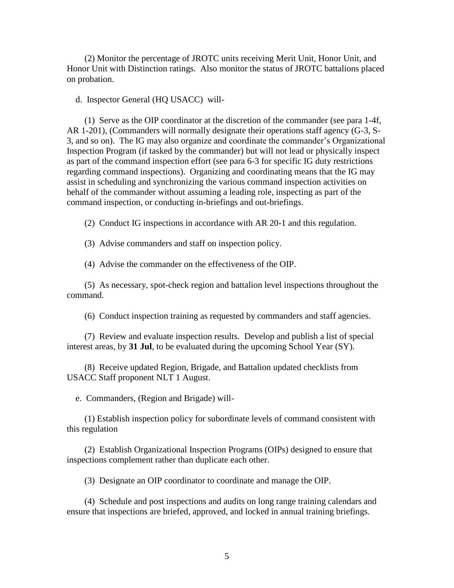(2) Monitor the percentage of JROTC units receiving Merit Unit, Honor Unit, and Honor Unit with Distinction ratings. Also monitor the status of JROTC battalions placed on probation.

d. Inspector General (HQ USACC) will-

 (1) Serve as the OIP coordinator at the discretion of the commander (see para 1-4f, AR 1-201), (Commanders will normally designate their operations staff agency (G-3, S-3, and so on). The IG may also organize and coordinate the commander's Organizational Inspection Program (if tasked by the commander) but will not lead or physically inspect as part of the command inspection effort (see para 6-3 for specific IG duty restrictions regarding command inspections). Organizing and coordinating means that the IG may assist in scheduling and synchronizing the various command inspection activities on behalf of the commander without assuming a leading role, inspecting as part of the command inspection, or conducting in-briefings and out-briefings.

(2) Conduct IG inspections in accordance with AR 20-1 and this regulation.

(3) Advise commanders and staff on inspection policy.

(4) Advise the commander on the effectiveness of the OIP.

 (5) As necessary, spot-check region and battalion level inspections throughout the command.

(6) Conduct inspection training as requested by commanders and staff agencies.

 (7) Review and evaluate inspection results. Develop and publish a list of special interest areas, by **31 Jul**, to be evaluated during the upcoming School Year (SY).

 (8) Receive updated Region, Brigade, and Battalion updated checklists from USACC Staff proponent NLT 1 August.

e. Commanders, (Region and Brigade) will-

 (1) Establish inspection policy for subordinate levels of command consistent with this regulation

 (2) Establish Organizational Inspection Programs (OIPs) designed to ensure that inspections complement rather than duplicate each other.

(3) Designate an OIP coordinator to coordinate and manage the OIP.

 (4) Schedule and post inspections and audits on long range training calendars and ensure that inspections are briefed, approved, and locked in annual training briefings.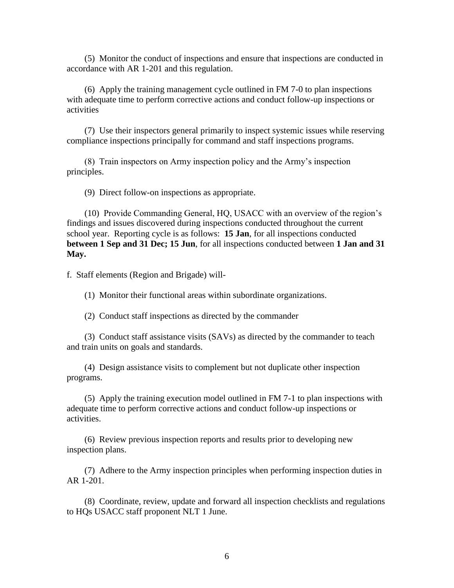(5) Monitor the conduct of inspections and ensure that inspections are conducted in accordance with AR 1-201 and this regulation.

 (6) Apply the training management cycle outlined in FM 7-0 to plan inspections with adequate time to perform corrective actions and conduct follow-up inspections or activities

 (7) Use their inspectors general primarily to inspect systemic issues while reserving compliance inspections principally for command and staff inspections programs.

 (8) Train inspectors on Army inspection policy and the Army's inspection principles.

(9) Direct follow-on inspections as appropriate.

 (10) Provide Commanding General, HQ, USACC with an overview of the region's findings and issues discovered during inspections conducted throughout the current school year. Reporting cycle is as follows: **15 Jan**, for all inspections conducted **between 1 Sep and 31 Dec; 15 Jun**, for all inspections conducted between **1 Jan and 31 May.**

f. Staff elements (Region and Brigade) will-

(1) Monitor their functional areas within subordinate organizations.

(2) Conduct staff inspections as directed by the commander

 (3) Conduct staff assistance visits (SAVs) as directed by the commander to teach and train units on goals and standards.

 (4) Design assistance visits to complement but not duplicate other inspection programs.

 (5) Apply the training execution model outlined in FM 7-1 to plan inspections with adequate time to perform corrective actions and conduct follow-up inspections or activities.

 (6) Review previous inspection reports and results prior to developing new inspection plans.

 (7) Adhere to the Army inspection principles when performing inspection duties in AR 1-201.

 (8) Coordinate, review, update and forward all inspection checklists and regulations to HQs USACC staff proponent NLT 1 June.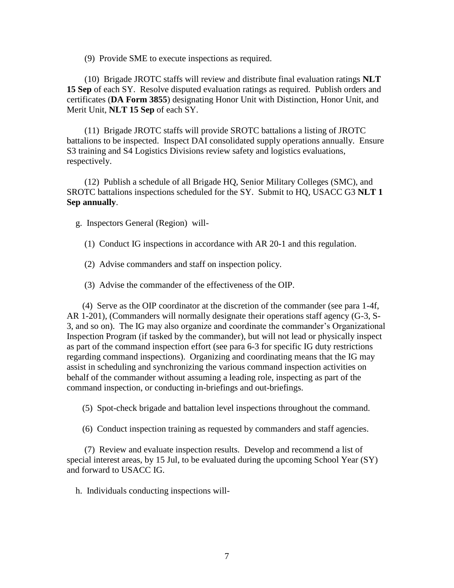(9) Provide SME to execute inspections as required.

 (10) Brigade JROTC staffs will review and distribute final evaluation ratings **NLT 15 Sep** of each SY. Resolve disputed evaluation ratings as required. Publish orders and certificates (**DA Form 3855**) designating Honor Unit with Distinction, Honor Unit, and Merit Unit, **NLT 15 Sep** of each SY.

 (11) Brigade JROTC staffs will provide SROTC battalions a listing of JROTC battalions to be inspected. Inspect DAI consolidated supply operations annually. Ensure S3 training and S4 Logistics Divisions review safety and logistics evaluations, respectively.

 (12) Publish a schedule of all Brigade HQ, Senior Military Colleges (SMC), and SROTC battalions inspections scheduled for the SY. Submit to HQ, USACC G3 **NLT 1 Sep annually**.

g. Inspectors General (Region) will-

- (1) Conduct IG inspections in accordance with AR 20-1 and this regulation.
- (2) Advise commanders and staff on inspection policy.
- (3) Advise the commander of the effectiveness of the OIP.

 (4) Serve as the OIP coordinator at the discretion of the commander (see para 1-4f, AR 1-201), (Commanders will normally designate their operations staff agency (G-3, S-3, and so on). The IG may also organize and coordinate the commander's Organizational Inspection Program (if tasked by the commander), but will not lead or physically inspect as part of the command inspection effort (see para 6-3 for specific IG duty restrictions regarding command inspections). Organizing and coordinating means that the IG may assist in scheduling and synchronizing the various command inspection activities on behalf of the commander without assuming a leading role, inspecting as part of the command inspection, or conducting in-briefings and out-briefings.

(5) Spot-check brigade and battalion level inspections throughout the command.

(6) Conduct inspection training as requested by commanders and staff agencies.

 (7) Review and evaluate inspection results. Develop and recommend a list of special interest areas, by 15 Jul, to be evaluated during the upcoming School Year (SY) and forward to USACC IG.

h. Individuals conducting inspections will-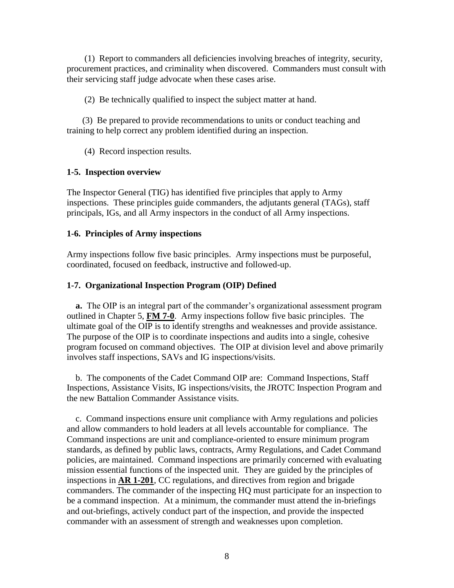(1) Report to commanders all deficiencies involving breaches of integrity, security, procurement practices, and criminality when discovered. Commanders must consult with their servicing staff judge advocate when these cases arise.

(2) Be technically qualified to inspect the subject matter at hand.

 (3) Be prepared to provide recommendations to units or conduct teaching and training to help correct any problem identified during an inspection.

(4) Record inspection results.

#### <span id="page-7-0"></span>**1-5. Inspection overview**

The Inspector General (TIG) has identified five principles that apply to Army inspections. These principles guide commanders, the adjutants general (TAGs), staff principals, IGs, and all Army inspectors in the conduct of all Army inspections.

#### **1-6. Principles of Army inspections**

Army inspections follow five basic principles. Army inspections must be purposeful, coordinated, focused on feedback, instructive and followed-up.

#### **1-7. Organizational Inspection Program (OIP) Defined**

 **a.** The OIP is an integral part of the commander's organizational assessment program outlined in Chapter 5, **[FM 7-0](http://www.army.mil/features/FM7/FM%207-0.PDF)**. Army inspections follow five basic principles. The ultimate goal of the OIP is to identify strengths and weaknesses and provide assistance. The purpose of the OIP is to coordinate inspections and audits into a single, cohesive program focused on command objectives. The OIP at division level and above primarily involves staff inspections, SAVs and IG inspections/visits.

 b. The components of the Cadet Command OIP are: Command Inspections, Staff Inspections, Assistance Visits, IG inspections/visits, the JROTC Inspection Program and the new Battalion Commander Assistance visits.

 c. Command inspections ensure unit compliance with Army regulations and policies and allow commanders to hold leaders at all levels accountable for compliance. The Command inspections are unit and compliance-oriented to ensure minimum program standards, as defined by public laws, contracts, Army Regulations, and Cadet Command policies, are maintained. Command inspections are primarily concerned with evaluating mission essential functions of the inspected unit. They are guided by the principles of inspections in **[AR 1-201](http://www.usapa.army.mil/pdffiles/r1_201.pdf)**, CC regulations, and directives from region and brigade commanders. The commander of the inspecting HQ must participate for an inspection to be a command inspection. At a minimum, the commander must attend the in-briefings and out-briefings, actively conduct part of the inspection, and provide the inspected commander with an assessment of strength and weaknesses upon completion.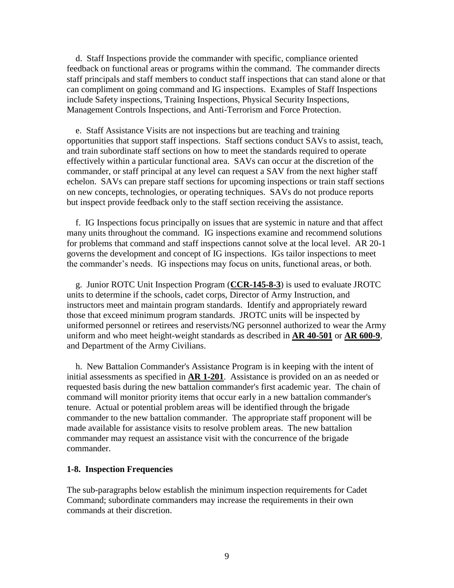d. Staff Inspections provide the commander with specific, compliance oriented feedback on functional areas or programs within the command. The commander directs staff principals and staff members to conduct staff inspections that can stand alone or that can compliment on going command and IG inspections. Examples of Staff Inspections include Safety inspections, Training Inspections, Physical Security Inspections, Management Controls Inspections, and Anti-Terrorism and Force Protection.

 e. Staff Assistance Visits are not inspections but are teaching and training opportunities that support staff inspections. Staff sections conduct SAVs to assist, teach, and train subordinate staff sections on how to meet the standards required to operate effectively within a particular functional area. SAVs can occur at the discretion of the commander, or staff principal at any level can request a SAV from the next higher staff echelon. SAVs can prepare staff sections for upcoming inspections or train staff sections on new concepts, technologies, or operating techniques. SAVs do not produce reports but inspect provide feedback only to the staff section receiving the assistance.

 f. IG Inspections focus principally on issues that are systemic in nature and that affect many units throughout the command. IG inspections examine and recommend solutions for problems that command and staff inspections cannot solve at the local level. AR 20-1 governs the development and concept of IG inspections. IGs tailor inspections to meet the commander's needs. IG inspections may focus on units, functional areas, or both.

 g. Junior ROTC Unit Inspection Program (**[CCR-145-8-3](/portal/dt/usacc/HQ/library/CC_Regulations/CCR_145_8_3.htm)**) is used to evaluate JROTC units to determine if the schools, cadet corps, Director of Army Instruction, and instructors meet and maintain program standards. Identify and appropriately reward those that exceed minimum program standards. JROTC units will be inspected by uniformed personnel or retirees and reservists/NG personnel authorized to wear the Army uniform and who meet height-weight standards as described in **[AR 40-501](http://www.usapa.army.mil/pdffiles/r40_501.pdf)** or **[AR 600-9](http://www.usapa.army.mil/pdffiles/r600_9.pdf)**, and Department of the Army Civilians.

 h. New Battalion Commander's Assistance Program is in keeping with the intent of initial assessments as specified in **[AR 1-201](http://www.usapa.army.mil/pdffiles/r1_201.pdf)**. Assistance is provided on an as needed or requested basis during the new battalion commander's first academic year. The chain of command will monitor priority items that occur early in a new battalion commander's tenure. Actual or potential problem areas will be identified through the brigade commander to the new battalion commander. The appropriate staff proponent will be made available for assistance visits to resolve problem areas. The new battalion commander may request an assistance visit with the concurrence of the brigade commander.

#### <span id="page-8-0"></span>**1-8. Inspection Frequencies**

The sub-paragraphs below establish the minimum inspection requirements for Cadet Command; subordinate commanders may increase the requirements in their own commands at their discretion.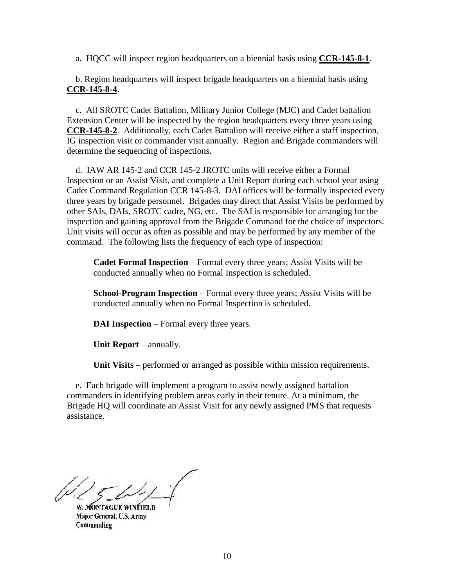a. HQCC will inspect region headquarters on a biennial basis using **[CCR-145-8-1](/portal/dt/usacc/HQ/library/CC_Regulations/CCR_145_8_1.htm)**.

 b. Region headquarters will inspect brigade headquarters on a biennial basis using **[CCR-145-8-4](/portal/dt/usacc/HQ/library/CC_Regulations/CCR_145_8_4.htm)**.

 c. All SROTC Cadet Battalion, Military Junior College (MJC) and Cadet battalion Extension Center will be inspected by the region headquarters every three years using **[CCR-145-8-2](/portal/dt/usacc/HQ/library/CC_Regulations/CCR_145_8_2.htm)**. Additionally, each Cadet Battalion will receive either a staff inspection, IG inspection visit or commander visit annually. Region and Brigade commanders will determine the sequencing of inspections.

 d. IAW AR 145-2 and CCR 145-2 JROTC units will receive either a Formal Inspection or an Assist Visit, and complete a Unit Report during each school year using Cadet Command Regulation CCR 145-8-3. DAI offices will be formally inspected every three years by brigade personnel. Brigades may direct that Assist Visits be performed by other SAIs, DAIs, SROTC cadre, NG, etc. The SAI is responsible for arranging for the inspection and gaining approval from the Brigade Command for the choice of inspectors. Unit visits will occur as often as possible and may be performed by any member of the command. The following lists the frequency of each type of inspection:

**Cadet Formal Inspection** – Formal every three years; Assist Visits will be conducted annually when no Formal Inspection is scheduled.

**School-Program Inspection** – Formal every three years; Assist Visits will be conducted annually when no Formal Inspection is scheduled.

**DAI Inspection** – Formal every three years.

Unit **Report** – annually.

**Unit Visits** – performed or arranged as possible within mission requirements.

 e. Each brigade will implement a program to assist newly assigned battalion commanders in identifying problem areas early in their tenure. At a minimum, the Brigade HQ will coordinate an Assist Visit for any newly assigned PMS that requests assistance.

W. MONTAGUE WINFIELD Major General, U.S. Army Commanding